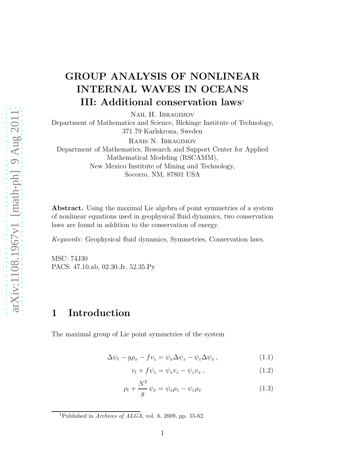## GROUP ANALYSIS OF NONLINEAR INTERNAL WAVES IN OCEANS III: Additional conservation laws<sup>1</sup>

Nail H. Ibragimov

Department of Mathematics and Science, Blekinge Institute of Technology, 371 79 Karlskrona, Sweden

Ranis N. Ibragimov

Department of Mathematics, Research and Support Center for Applied Mathematical Modeling (RSCAMM), New Mexico Institute of Mining and Technology, Socorro, NM, 87801 USA

Abstract. Using the maximal Lie algebra of point symmetries of a system of nonlinear equations used in geophysical fluid dynamics, two conservation laws are found in addition to the conservation of energy.

Keywords: Geophysical fluid dynamics, Symmetries, Conservation laws.

MSC: 74J30 PACS: 47.10.ab, 02.30.Jr, 52.35.Py

## 1 Introduction

The maximal group of Lie point symmetries of the system

$$
\Delta \psi_t - g\rho_x - f v_z = \psi_x \Delta \psi_z - \psi_z \Delta \psi_x, \qquad (1.1)
$$

$$
v_t + f\psi_z = \psi_x v_z - \psi_z v_x, \qquad (1.2)
$$

$$
\rho_t + \frac{N^2}{g} \psi_x = \psi_x \rho_z - \psi_z \rho_x \tag{1.3}
$$

<sup>&</sup>lt;sup>1</sup>Published in *Archives of ALGA*, vol. 6, 2009, pp. 55-62.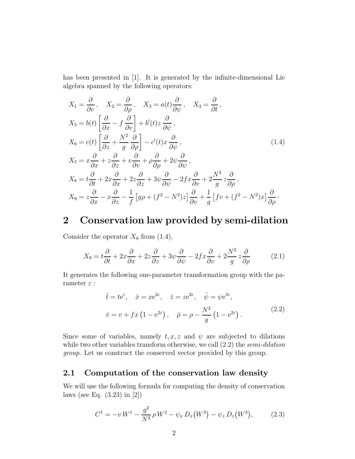has been presented in [1]. It is generated by the infinite-dimensional Lie algebra spanned by the following operators:

$$
X_1 = \frac{\partial}{\partial v}, \quad X_2 = \frac{\partial}{\partial \rho}, \quad X_3 = a(t)\frac{\partial}{\partial \psi}, \quad X_4 = \frac{\partial}{\partial t},
$$
  
\n
$$
X_5 = b(t) \left[ \frac{\partial}{\partial x} - f \frac{\partial}{\partial v} \right] + b'(t)z \frac{\partial}{\partial \psi},
$$
  
\n
$$
X_6 = c(t) \left[ \frac{\partial}{\partial z} + \frac{N^2}{g} \frac{\partial}{\partial \rho} \right] - c'(t)x \frac{\partial}{\partial \psi},
$$
  
\n
$$
X_7 = x\frac{\partial}{\partial x} + z\frac{\partial}{\partial z} + v\frac{\partial}{\partial v} + \rho \frac{\partial}{\partial \rho} + 2\psi \frac{\partial}{\partial \psi},
$$
  
\n
$$
X_8 = t\frac{\partial}{\partial t} + 2x\frac{\partial}{\partial x} + 2z\frac{\partial}{\partial z} + 3\psi \frac{\partial}{\partial \psi} - 2fx\frac{\partial}{\partial v} + 2\frac{N^2}{g}z\frac{\partial}{\partial \rho},
$$
  
\n
$$
X_9 = z\frac{\partial}{\partial x} - x\frac{\partial}{\partial z} - \frac{1}{f}[g\rho + (f^2 - N^2)z] \frac{\partial}{\partial v} + \frac{1}{g}[fv + (f^2 - N^2)x] \frac{\partial}{\partial \rho}.
$$

### 2 Conservation law provided by semi-dilation

Consider the operator  $X_8$  from (1.4),

$$
X_8 = t\frac{\partial}{\partial t} + 2x\frac{\partial}{\partial x} + 2z\frac{\partial}{\partial z} + 3\psi\frac{\partial}{\partial \psi} - 2fx\frac{\partial}{\partial v} + 2\frac{N^2}{g}z\frac{\partial}{\partial \rho}
$$
(2.1)

It generates the following one-parameter transformation group with the parameter  $\varepsilon$  :

$$
\bar{t} = te^{\varepsilon}, \quad \bar{x} = xe^{2\varepsilon}, \quad \bar{z} = ze^{2\varepsilon}, \quad \bar{\psi} = \psi e^{3\varepsilon},
$$

$$
\bar{v} = v + fx \left(1 - e^{2\varepsilon}\right), \quad \bar{\rho} = \rho - \frac{N^2}{g} \left(1 - e^{2\varepsilon}\right). \tag{2.2}
$$

Since some of variables, namely  $t, x, z$  and  $\psi$  are subjected to dilations while two other variables transform otherwise, we call  $(2.2)$  the semi-dilation group. Let us construct the conserved vector provided by this group.

#### 2.1 Computation of the conservation law density

We will use the following formula for computing the density of conservation laws (see Eq. (3.23) in [2])

$$
C^{1} = -v W^{1} - \frac{g^{2}}{N^{2}} \rho W^{2} - \psi_{x} D_{x}(W^{3}) - \psi_{z} D_{z}(W^{3}), \qquad (2.3)
$$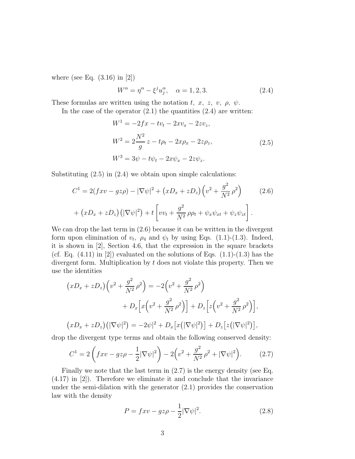where (see Eq.  $(3.16)$  in  $|2|$ )

$$
W^{\alpha} = \eta^{\alpha} - \xi^{j} u_{j}^{\alpha}, \quad \alpha = 1, 2, 3. \tag{2.4}
$$

These formulas are written using the notation t, x, z, v,  $\rho$ ,  $\psi$ .

In the case of the operator  $(2.1)$  the quantities  $(2.4)$  are written:

$$
W^{1} = -2fx - tv_{t} - 2xv_{x} - 2zv_{z},
$$
  
\n
$$
W^{2} = 2\frac{N^{2}}{g}z - t\rho_{t} - 2x\rho_{x} - 2z\rho_{z},
$$
  
\n
$$
W^{3} = 3\psi - t\psi_{t} - 2x\psi_{x} - 2z\psi_{z}.
$$
\n(2.5)

Substituting (2.5) in (2.4) we obtain upon simple calculations:

$$
C^{1} = 2(fxv - gz\rho) - |\nabla\psi|^{2} + (xD_{x} + zD_{z})\left(v^{2} + \frac{g^{2}}{N^{2}}\rho^{2}\right)
$$
(2.6)  
+ 
$$
(xD_{x} + zD_{z})\left(|\nabla\psi|^{2}\right) + t\left[vv_{t} + \frac{g^{2}}{N^{2}}\rho\rho_{t} + \psi_{x}\psi_{xt} + \psi_{z}\psi_{zt}\right].
$$

We can drop the last term in (2.6) because it can be written in the divergent form upon elimination of  $v_t$ ,  $\rho_4$  and  $\psi_t$  by using Eqs. (1.1)-(1.3). Indeed, it is shown in [2], Section 4.6, that the expression in the square brackets (cf. Eq.  $(4.11)$  in  $[2]$ ) evaluated on the solutions of Eqs.  $(1.1)-(1.3)$  has the divergent form. Multiplication by  $t$  does not violate this property. Then we use the identities

$$
(xD_x + zD_z) (v^2 + \frac{g^2}{N^2} \rho^2) = -2(v^2 + \frac{g^2}{N^2} \rho^2) + D_x \Big[ x (v^2 + \frac{g^2}{N^2} \rho^2) \Big] + D_z \Big[ z (v^2 + \frac{g^2}{N^2} \rho^2) \Big],
$$
  

$$
(xD_x + zD_z) (|\nabla \psi|^2) = -2\psi|^2 + D_x [x (|\nabla \psi|^2)] + D_z [z (|\nabla \psi|^2)],
$$

drop the divergent type terms and obtain the following conserved density:

$$
C^{1} = 2\left(fxv - gz\rho - \frac{1}{2}|\nabla\psi|^{2}\right) - 2\left(v^{2} + \frac{g^{2}}{N^{2}}\rho^{2} + |\nabla\psi|^{2}\right).
$$
 (2.7)

Finally we note that the last term in (2.7) is the energy density (see Eq. (4.17) in [2]). Therefore we eliminate it and conclude that the invariance under the semi-dilation with the generator  $(2.1)$  provides the conservation law with the density

$$
P = f x v - g z \rho - \frac{1}{2} |\nabla \psi|^2.
$$
 (2.8)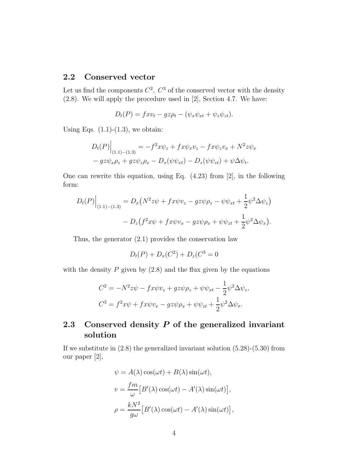#### 2.2 Conserved vector

Let us find the components  $C^2$ ,  $C^3$  of the conserved vector with the density (2.8). We will apply the procedure used in [2], Section 4.7. We have:

$$
D_t(P) = fxv_t - gz\rho_t - (\psi_x\psi_{xt} + \psi_z\psi_{zt}).
$$

Using Eqs.  $(1.1)-(1.3)$ , we obtain:

$$
D_t(P)\Big|_{(1.1)-(1.3)} = -f^2x\psi_z + fx\psi_xv_z - fx\psi_zv_x + N^2z\psi_x
$$
  

$$
-gz\psi_x\rho_z + gz\psi_z\rho_x - D_x(\psi\psi_{xt}) - D_z(\psi\psi_{zt}) + \psi\Delta\psi_t.
$$

One can rewrite this equation, using Eq. (4.23) from [2], in the following form:

$$
D_t(P)\Big|_{(1.1)-(1.3)} = D_x(N^2z\psi + fx\psi v_z - gz\psi \rho_z - \psi \psi_{xt} + \frac{1}{2}\psi^2 \Delta \psi_z) - D_z(f^2x\psi + fx\psi v_x - gz\psi \rho_x + \psi \psi_{zt} + \frac{1}{2}\psi^2 \Delta \psi_x).
$$

Thus, the generator (2.1) provides the conservation law

$$
D_t(P) + D_x(C^2) + D_z(C^3 = 0
$$

with the density  $P$  given by  $(2.8)$  and the flux given by the equations

$$
C^2 = -N^2 z\psi - fx\psi v_z + gz\psi \rho_z + \psi \psi_{xt} - \frac{1}{2} \psi^2 \Delta \psi_z,
$$
  

$$
C^3 = f^2 x\psi + fx\psi v_x - gz\psi \rho_x + \psi \psi_{zt} + \frac{1}{2} \psi^2 \Delta \psi_x.
$$

#### 2.3 Conserved density  $P$  of the generalized invariant solution

If we substitute in  $(2.8)$  the generalized invariant solution  $(5.28)$ - $(5.30)$  from our paper [2],

$$
\psi = A(\lambda)\cos(\omega t) + B(\lambda)\sin(\omega t),
$$
  

$$
v = \frac{fm}{\omega} [B'(\lambda)\cos(\omega t) - A'(\lambda)\sin(\omega t)],
$$
  

$$
\rho = \frac{kN^2}{g\omega} [B'(\lambda)\cos(\omega t) - A'(\lambda)\sin(\omega t)],
$$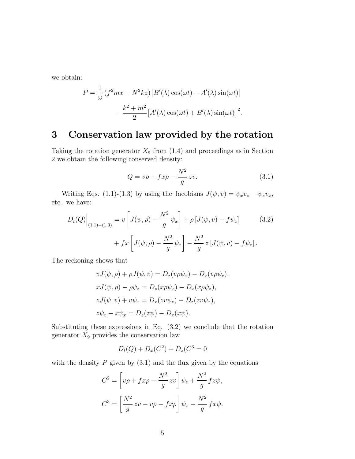we obtain:

$$
P = \frac{1}{\omega} (f^2 m x - N^2 k z) [B'(\lambda) \cos(\omega t) - A'(\lambda) \sin(\omega t)]
$$

$$
- \frac{k^2 + m^2}{2} [A'(\lambda) \cos(\omega t) + B'(\lambda) \sin(\omega t)]^2.
$$

## 3 Conservation law provided by the rotation

Taking the rotation generator  $X_9$  from (1.4) and proceedings as in Section 2 we obtain the following conserved density:

$$
Q = v\rho + fx\rho - \frac{N^2}{g} zv.
$$
\n(3.1)

Writing Eqs. (1.1)-(1.3) by using the Jacobians  $J(\psi, v) = \psi_x v_z - \psi_z v_x$ , etc., we have:

$$
D_t(Q)\Big|_{(1.1)-(1.3)} = v \left[ J(\psi, \rho) - \frac{N^2}{g} \psi_x \right] + \rho \left[ J(\psi, v) - f\psi_z \right] \tag{3.2}
$$

$$
+ fx \left[ J(\psi, \rho) - \frac{N^2}{g} \psi_x \right] - \frac{N^2}{g} z \left[ J(\psi, v) - f\psi_z \right].
$$

The reckoning shows that

$$
vJ(\psi, \rho) + \rho J(\psi, v) = D_z(v\rho \psi_x) - D_x(v\rho \psi_z),
$$
  
\n
$$
xJ(\psi, \rho) - \rho \psi_z = D_z(x\rho \psi_x) - D_x(x\rho \psi_z),
$$
  
\n
$$
zJ(\psi, v) + v\psi_x = D_x(zv\psi_z) - D_z(zv\psi_x),
$$
  
\n
$$
z\psi_z - x\psi_x = D_z(z\psi) - D_x(x\psi).
$$

Substituting these expressions in Eq. (3.2) we conclude that the rotation generator  $X_9$  provides the conservation law

$$
D_t(Q) + D_x(C^2) + D_z(C^3 = 0
$$

with the density  $P$  given by  $(3.1)$  and the flux given by the equations

$$
C^{2} = \left[ v\rho + fx\rho - \frac{N^{2}}{g} zv \right] \psi_{z} + \frac{N^{2}}{g} fz\psi,
$$
  

$$
C^{3} = \left[ \frac{N^{2}}{g} zv - v\rho - fx\rho \right] \psi_{x} - \frac{N^{2}}{g} fx\psi.
$$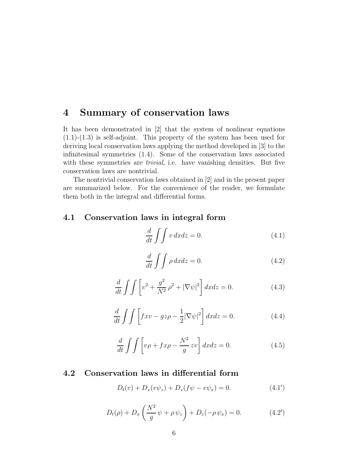## 4 Summary of conservation laws

It has been demonstrated in [2] that the system of nonlinear equations  $(1.1)-(1.3)$  is self-adjoint. This property of the system has been used for deriving local conservation laws applying the method developed in [3] to the infinitesimal symmetries (1.4). Some of the conservation laws associated with these symmetries are *trivial*, i.e. have vanishing densities. But five conservation laws are nontrivial.

The nontrivial conservation laws obtained in [2] and in the present paper are summarized below. For the convenience of the reader, we formulate them both in the integral and differential forms.

#### 4.1 Conservation laws in integral form

$$
\frac{d}{dt} \int \int v \, dx dz = 0. \tag{4.1}
$$

$$
\frac{d}{dt} \int \int \rho \, dx dz = 0. \tag{4.2}
$$

$$
\frac{d}{dt} \int \int \left[ v^2 + \frac{g^2}{N^2} \rho^2 + |\nabla \psi|^2 \right] dx dz = 0.
$$
 (4.3)

$$
\frac{d}{dt} \int \int \left[ f x v - g z \rho - \frac{1}{2} |\nabla \psi|^2 \right] dx dz = 0.
$$
 (4.4)

$$
\frac{d}{dt} \int \int \left[ v\rho + fx\rho - \frac{N^2}{g} zv \right] dx dz = 0.
$$
\n(4.5)

#### 4.2 Conservation laws in differential form

$$
D_t(v) + D_x(v\psi_z) + D_z(f\psi - v\psi_x) = 0.
$$
 (4.1')

$$
D_t(\rho) + D_x \left( \frac{N^2}{g} \psi + \rho \psi_z \right) + D_z(-\rho \psi_x) = 0.
$$
 (4.2')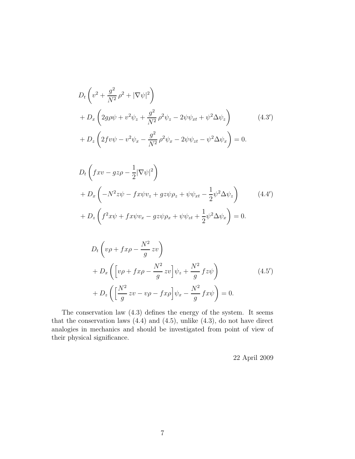$$
D_{t}\left(v^{2} + \frac{g^{2}}{N^{2}}\rho^{2} + |\nabla\psi|^{2}\right) + D_{x}\left(2g\rho\psi + v^{2}\psi_{z} + \frac{g^{2}}{N^{2}}\rho^{2}\psi_{z} - 2\psi\psi_{xt} + \psi^{2}\Delta\psi_{z}\right) + D_{z}\left(2f v\psi - v^{2}\psi_{x} - \frac{g^{2}}{N^{2}}\rho^{2}\psi_{x} - 2\psi\psi_{zt} - \psi^{2}\Delta\psi_{x}\right) = 0.
$$
 (4.3')

$$
D_t \left(fxv - gz\rho - \frac{1}{2}|\nabla\psi|^2\right)
$$
  
+ 
$$
D_x \left(-N^2z\psi - fx\psi v_z + gz\psi \rho_z + \psi\psi_{xt} - \frac{1}{2}\psi^2 \Delta\psi_z\right)
$$
  
+ 
$$
D_z \left(f^2x\psi + fx\psi v_x - gz\psi \rho_x + \psi\psi_{zt} + \frac{1}{2}\psi^2 \Delta\psi_x\right) = 0.
$$
 (4.4')

$$
D_t \left( v\rho + fx\rho - \frac{N^2}{g} zv \right)
$$
  
+ 
$$
D_x \left( \left[ v\rho + fx\rho - \frac{N^2}{g} zv \right] \psi_z + \frac{N^2}{g} fz\psi \right)
$$
  
+ 
$$
D_z \left( \left[ \frac{N^2}{g} zv - v\rho - fx\rho \right] \psi_x - \frac{N^2}{g} fx\psi \right) = 0.
$$
 (4.5')

The conservation law (4.3) defines the energy of the system. It seems that the conservation laws (4.4) and (4.5), unlike (4.3), do not have direct analogies in mechanics and should be investigated from point of view of their physical significance.

22 April 2009